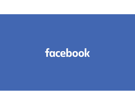# facebook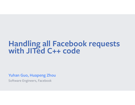## **Handling all Facebook requests with JITed C++ code**

**Yuhan Guo, Huapeng Zhou**

Software Engineers, Facebook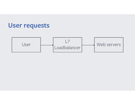

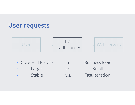



• Core HTTP stack + Business logic • Large • v.s. Small • Stable • v.s. Fast iteration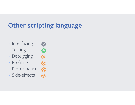# **Other scripting language**

 $38888$ 

- Interfacing
- Testing
- Debugging
- Profiling
- Performance
- Side-effects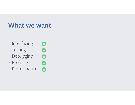### **What we want**

8

 $\bullet$ 

- Interfacing
- Testing
- $\bullet$  $\bullet$ • Debugging
- Profiling
- Profiling<br>• Performance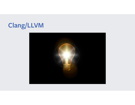## **Clang/LLVM**

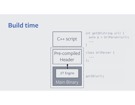#### **Build time**

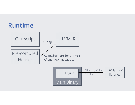#### **Runtime**

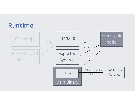#### **Runtime**

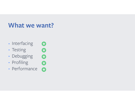### **What we want?**

8

 $\bullet$ 

- Interfacing
- Testing
- $\bullet$ • Debugging
- Profiling
- Profiling<br>• Performance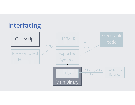## **Interfacing**

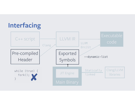

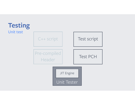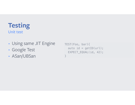#### **Testing** Unit test

- Using same JIT Engine
- Google Test
- ASan/UBSan

```
TEST(Foo, bar){ 
  auto id = getID(url); EXPECT_EQUAL(id, 42); 
}
```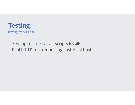

- Spin up main binary + scripts locally
- Real HTTP test request against local host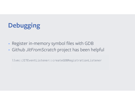# **Debugging**

- Register in-memory symbol files with GDB
- Github *JitFromScratch* project has been helpful

llvm::JITEventListener::createGDBRegistrationListener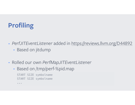## **Profiling**

- *PerfJITEventListener* added in https://reviews.llvm.org/D44892
	- Based on jitdump
- Rolled our own *PerfMapJITEventListener*
	- Based on /tmp/perf-%pid.map

START SIZE symbolname START SIZE symbolname

...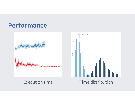



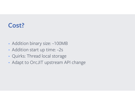#### **Cost?**

- Addition binary size: ~100MB
- Addition start up time: ~2s
- Quirks: Thread local storage
- Adapt to OrcJIT upstream API change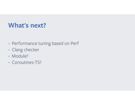#### **What's next?**

- Performance tuning based on Perf
- Clang checker
- Module?
- Coroutines-TS?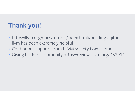## **Thank you!**

- https://llvm.org/docs/tutorial/index.html#building-a-jit-inllvm has been extremely helpful
- Continuous support from LLVM society is awesome
- Giving back to community https://reviews.llvm.org/D53911